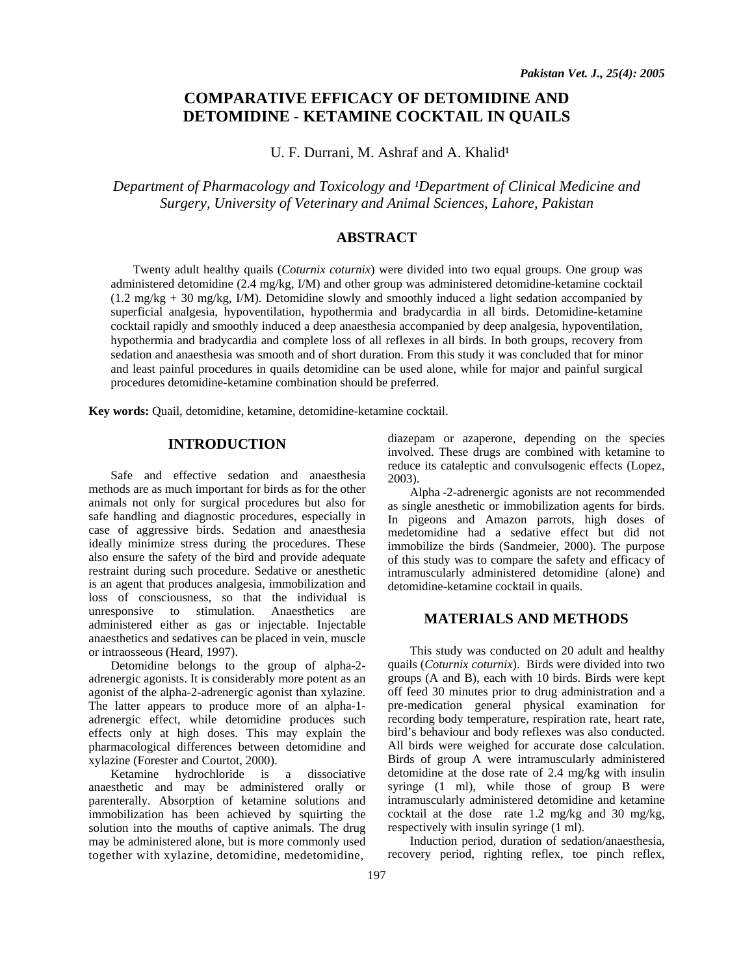# **COMPARATIVE EFFICACY OF DETOMIDINE AND DETOMIDINE - KETAMINE COCKTAIL IN QUAILS**

U. F. Durrani, M. Ashraf and A. Khalid<sup>1</sup>

*Department of Pharmacology and Toxicology and <sup>1</sup>Department of Clinical Medicine and Surgery, University of Veterinary and Animal Sciences, Lahore, Pakistan* 

## **ABSTRACT**

Twenty adult healthy quails (*Coturnix coturnix*) were divided into two equal groups. One group was administered detomidine (2.4 mg/kg, I/M) and other group was administered detomidine-ketamine cocktail (1.2 mg/kg + 30 mg/kg, I/M). Detomidine slowly and smoothly induced a light sedation accompanied by superficial analgesia, hypoventilation, hypothermia and bradycardia in all birds. Detomidine-ketamine cocktail rapidly and smoothly induced a deep anaesthesia accompanied by deep analgesia, hypoventilation, hypothermia and bradycardia and complete loss of all reflexes in all birds. In both groups, recovery from sedation and anaesthesia was smooth and of short duration. From this study it was concluded that for minor and least painful procedures in quails detomidine can be used alone, while for major and painful surgical procedures detomidine-ketamine combination should be preferred.

**Key words:** Quail, detomidine, ketamine, detomidine-ketamine cocktail.

## **INTRODUCTION**

Safe and effective sedation and anaesthesia methods are as much important for birds as for the other animals not only for surgical procedures but also for safe handling and diagnostic procedures, especially in case of aggressive birds. Sedation and anaesthesia ideally minimize stress during the procedures. These also ensure the safety of the bird and provide adequate restraint during such procedure. Sedative or anesthetic is an agent that produces analgesia, immobilization and loss of consciousness, so that the individual is unresponsive to stimulation. Anaesthetics are administered either as gas or injectable. Injectable anaesthetics and sedatives can be placed in vein, muscle or intraosseous (Heard, 1997).

Detomidine belongs to the group of alpha-2 adrenergic agonists. It is considerably more potent as an agonist of the alpha-2-adrenergic agonist than xylazine. The latter appears to produce more of an alpha-1 adrenergic effect, while detomidine produces such effects only at high doses. This may explain the pharmacological differences between detomidine and xylazine (Forester and Courtot, 2000).

Ketamine hydrochloride is a dissociative anaesthetic and may be administered orally or parenterally. Absorption of ketamine solutions and immobilization has been achieved by squirting the solution into the mouths of captive animals. The drug may be administered alone, but is more commonly used together with xylazine, detomidine, medetomidine,

diazepam or azaperone, depending on the species involved. These drugs are combined with ketamine to reduce its cataleptic and convulsogenic effects (Lopez, 2003).

Alpha -2-adrenergic agonists are not recommended as single anesthetic or immobilization agents for birds. In pigeons and Amazon parrots, high doses of medetomidine had a sedative effect but did not immobilize the birds (Sandmeier, 2000). The purpose of this study was to compare the safety and efficacy of intramuscularly administered detomidine (alone) and detomidine-ketamine cocktail in quails.

## **MATERIALS AND METHODS**

This study was conducted on 20 adult and healthy quails (*Coturnix coturnix*). Birds were divided into two groups (A and B), each with 10 birds. Birds were kept off feed 30 minutes prior to drug administration and a pre-medication general physical examination for recording body temperature, respiration rate, heart rate, bird's behaviour and body reflexes was also conducted. All birds were weighed for accurate dose calculation. Birds of group A were intramuscularly administered detomidine at the dose rate of 2.4 mg/kg with insulin syringe (1 ml), while those of group B were intramuscularly administered detomidine and ketamine cocktail at the dose rate 1.2 mg/kg and 30 mg/kg, respectively with insulin syringe (1 ml).

Induction period, duration of sedation/anaesthesia, recovery period, righting reflex, toe pinch reflex,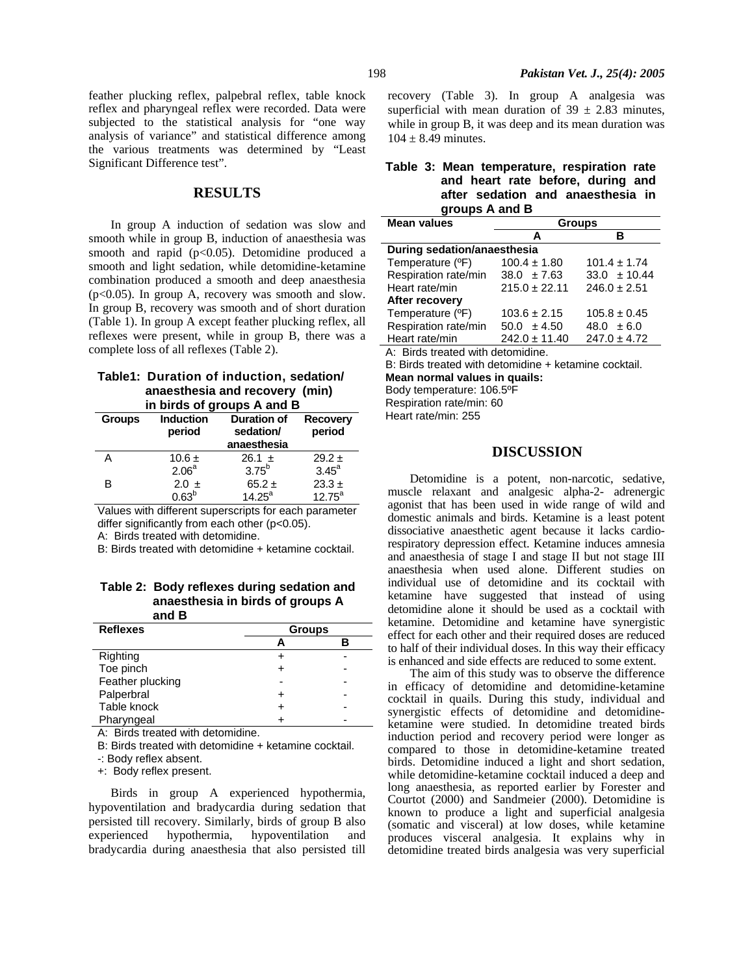#### **RESULTS**

In group A induction of sedation was slow and smooth while in group B, induction of anaesthesia was smooth and rapid  $(p<0.05)$ . Detomidine produced a smooth and light sedation, while detomidine-ketamine combination produced a smooth and deep anaesthesia  $(p<0.05)$ . In group A, recovery was smooth and slow. In group B, recovery was smooth and of short duration (Table 1). In group A except feather plucking reflex, all reflexes were present, while in group B, there was a complete loss of all reflexes (Table 2).

#### **Table1: Duration of induction, sedation/ anaesthesia and recovery (min) in birds of groups A and B**

| $\mathbf{u}$ , bitus of groups A driu D |                            |                                                |                           |  |
|-----------------------------------------|----------------------------|------------------------------------------------|---------------------------|--|
| <b>Groups</b>                           | <b>Induction</b><br>period | <b>Duration of</b><br>sedation/<br>anaesthesia | <b>Recovery</b><br>period |  |
| А                                       | 10.6 $\pm$                 | $26.1 \pm$                                     | $29.2 \pm$                |  |
|                                         | 2.06 <sup>a</sup>          | 3.75 <sup>b</sup>                              | $3.45^{\circ}$            |  |
| в                                       | $2.0 \pm$                  | $65.2 \pm$                                     | $23.3 \pm$                |  |
|                                         | $0.63^{b}$                 | $14.25^a$                                      | $12.75^{\circ}$           |  |

Values with different superscripts for each parameter differ significantly from each other (p<0.05).

A: Birds treated with detomidine.

B: Birds treated with detomidine + ketamine cocktail.

#### **Table 2: Body reflexes during sedation and anaesthesia in birds of groups A and B**

| <b>Reflexes</b>  | <b>Groups</b> |  |  |
|------------------|---------------|--|--|
|                  |               |  |  |
| Righting         |               |  |  |
| Toe pinch        |               |  |  |
| Feather plucking |               |  |  |
| Palperbral       |               |  |  |
| Table knock      |               |  |  |
| Pharyngeal       |               |  |  |

A: Birds treated with detomidine.

B: Birds treated with detomidine + ketamine cocktail.

-: Body reflex absent.

+: Body reflex present.

Birds in group A experienced hypothermia, hypoventilation and bradycardia during sedation that persisted till recovery. Similarly, birds of group B also experienced hypothermia, hypoventilation and bradycardia during anaesthesia that also persisted till

recovery (Table 3). In group A analgesia was superficial with mean duration of  $39 \pm 2.83$  minutes, while in group B, it was deep and its mean duration was  $104 \pm 8.49$  minutes.

|  | Table 3: Mean temperature, respiration rate |
|--|---------------------------------------------|
|  | and heart rate before, during and           |
|  | after sedation and anaesthesia in           |
|  | groups A and B                              |

| <b>Mean values</b>          | <b>Groups</b>     |                  |  |  |  |
|-----------------------------|-------------------|------------------|--|--|--|
|                             | A                 | в                |  |  |  |
| During sedation/anaesthesia |                   |                  |  |  |  |
| Temperature (°F)            | $100.4 \pm 1.80$  | $101.4 \pm 1.74$ |  |  |  |
| Respiration rate/min        | $38.0 \pm 7.63$   | $33.0 \pm 10.44$ |  |  |  |
| Heart rate/min              | $215.0 \pm 22.11$ | $246.0 \pm 2.51$ |  |  |  |
| After recovery              |                   |                  |  |  |  |
| Temperature (°F)            | $103.6 \pm 2.15$  | $105.8 \pm 0.45$ |  |  |  |
| Respiration rate/min        | $50.0 \pm 4.50$   | $48.0 \pm 6.0$   |  |  |  |
| Heart rate/min              | $242.0 \pm 11.40$ | $247.0 \pm 4.72$ |  |  |  |

A: Birds treated with detomidine.

B: Birds treated with detomidine + ketamine cocktail. **Mean normal values in quails:**  Body temperature: 106.5ºF

Respiration rate/min: 60

Heart rate/min: 255

## **DISCUSSION**

Detomidine is a potent, non-narcotic, sedative, muscle relaxant and analgesic alpha-2- adrenergic agonist that has been used in wide range of wild and domestic animals and birds. Ketamine is a least potent dissociative anaesthetic agent because it lacks cardiorespiratory depression effect. Ketamine induces amnesia and anaesthesia of stage I and stage II but not stage III anaesthesia when used alone. Different studies on individual use of detomidine and its cocktail with ketamine have suggested that instead of using detomidine alone it should be used as a cocktail with ketamine. Detomidine and ketamine have synergistic effect for each other and their required doses are reduced to half of their individual doses. In this way their efficacy is enhanced and side effects are reduced to some extent.

The aim of this study was to observe the difference in efficacy of detomidine and detomidine-ketamine cocktail in quails. During this study, individual and synergistic effects of detomidine and detomidineketamine were studied. In detomidine treated birds induction period and recovery period were longer as compared to those in detomidine-ketamine treated birds. Detomidine induced a light and short sedation, while detomidine-ketamine cocktail induced a deep and long anaesthesia, as reported earlier by Forester and Courtot (2000) and Sandmeier (2000). Detomidine is known to produce a light and superficial analgesia (somatic and visceral) at low doses, while ketamine produces visceral analgesia. It explains why in detomidine treated birds analgesia was very superficial